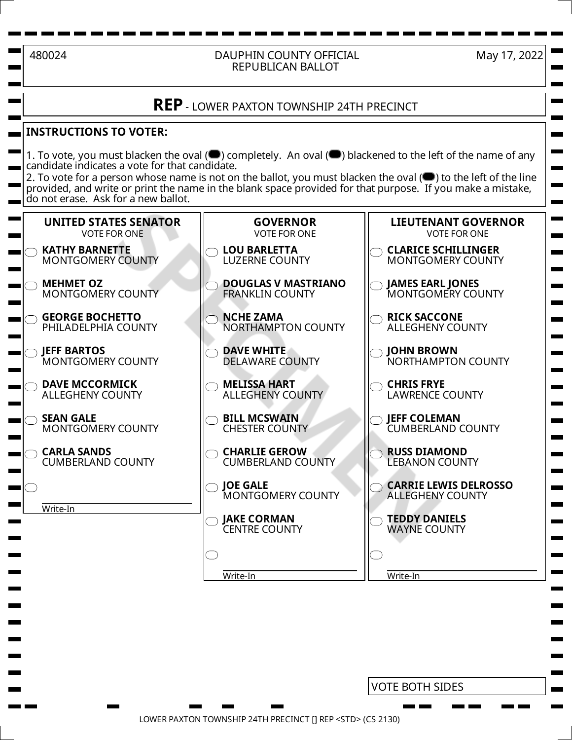## 480024 DAUPHIN COUNTY OFFICIAL REPUBLICAN BALLOT

May 17, 2022

## **REP**- LOWER PAXTON TOWNSHIP 24TH PRECINCT

## **INSTRUCTIONS TO VOTER:**

1. To vote, you must blacken the oval ( $\blacksquare$ ) completely. An oval ( $\blacksquare$ ) blackened to the left of the name of any candidate indicates a vote for that candidate.

2. To vote for a person whose name is not on the ballot, you must blacken the oval ( $\blacksquare$ ) to the left of the line provided, and write or print the name in the blank space provided for that purpose. If you make a mistake, do not erase. Ask for a new ballot.